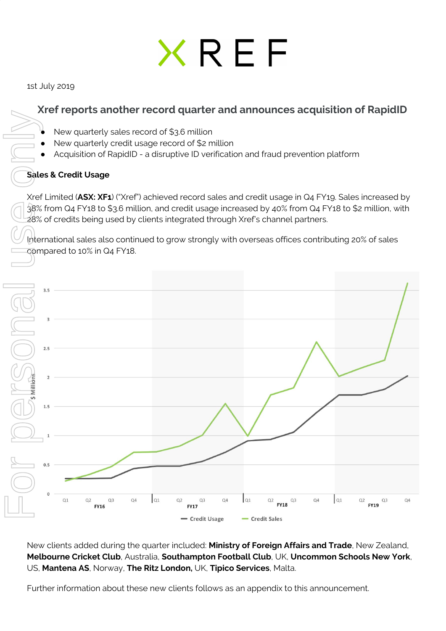# XREF

1st July 2019

# **Xref reports another record quarter and announces acquisition of RapidID**

- New quarterly sales record of \$3.6 million
- New quarterly credit usage record of \$2 million
- Acquisition of RapidID a disruptive ID verification and fraud prevention platform

## **Sales & Credit Usage**

Xref Limited (**ASX: XF1**) ("Xref") achieved record sales and credit usage in Q4 FY19. Sales increased by 38% from Q4 FY18 to \$3.6 million, and credit usage increased by 40% from Q4 FY18 to \$2 million, with 28% of credits being used by clients integrated through Xref's channel partners.

International sales also continued to grow strongly with overseas offices contributing 20% of sales compared to 10% in Q4 FY18.



New clients added during the quarter included: **Ministry of Foreign Affairs and Trade**, New Zealand, **Melbourne Cricket Club**, Australia, **Southampton Football Club**, UK, **Uncommon Schools New York**, US, **Mantena AS**, Norway, **The Ritz London,** UK, **Tipico Services**, Malta.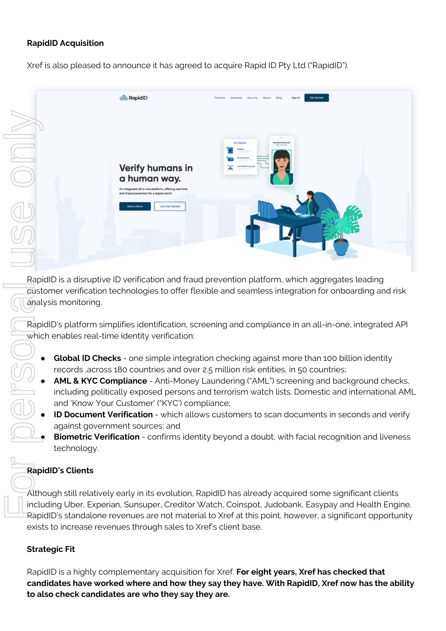#### **RapidID Acquisition**

Xref is also pleased to announce it has agreed to acquire Rapid ID Pty Ltd ("RapidID").



RapidID is a disruptive ID verification and fraud prevention platform, which aggregates leading customer verification technologies to offer flexible and seamless integration for onboarding and risk analysis monitoring.

RapidID's platform simplifies identification, screening and compliance in an all-in-one, integrated API which enables real-time identity verification:

- **Global ID Checks** one simple integration checking against more than 100 billion identity records ,across 180 countries and over 2.5 million risk entities, in 50 countries;
- **AML & KYC Compliance** Anti-Money Laundering ("AML") screening and background checks, including politically exposed persons and terrorism watch lists. Domestic and international AML and 'Know Your Customer' ("KYC') compliance;
- **ID Document Verification** which allows customers to scan documents in seconds and verify against government sources; and
- **Biometric Verification** confirms identity beyond a doubt, with facial recognition and liveness technology.

### **RapidID's Clients**

Although still relatively early in its evolution, RapidID has already acquired some significant clients including Uber, Experian, Sunsuper, Creditor Watch, Coinspot, Judobank, Easypay and Health Engine. RapidID's standalone revenues are not material to Xref at this point, however, a significant opportunity exists to increase revenues through sales to Xref's client base.

#### **Strategic Fit**

RapidID is a highly complementary acquisition for Xref. **For eight years, Xref has checked that candidates have worked where and how they say they have. With RapidID, Xref now has the ability**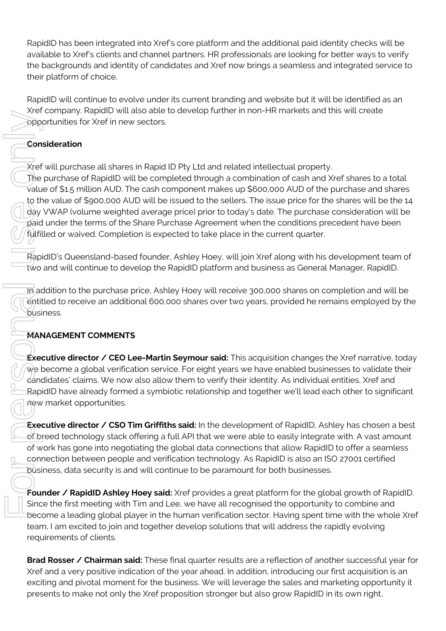RapidID has been integrated into Xref's core platform and the additional paid identity checks will be available to Xref's clients and channel partners. HR professionals are looking for better ways to verify the backgrounds and identity of candidates and Xref now brings a seamless and integrated service to their platform of choice.

RapidID will continue to evolve under its current branding and website but it will be identified as an Xref company. RapidID will also able to develop further in non-HR markets and this will create opportunities for Xref in new sectors.

# **Consideration**

Xref will purchase all shares in Rapid ID Pty Ltd and related intellectual property.

The purchase of RapidID will be completed through a combination of cash and Xref shares to a total value of \$1.5 million AUD. The cash component makes up \$600,000 AUD of the purchase and shares to the value of \$900,000 AUD will be issued to the sellers. The issue price for the shares will be the 14 day VWAP (volume weighted average price) prior to today's date. The purchase consideration will be paid under the terms of the Share Purchase Agreement when the conditions precedent have been fulfilled or waived. Completion is expected to take place in the current quarter. presentation is only the make not only the make not only the stronger but also a stronger but also a stronger but also a stronger but also a stronger but also a stronger but also grow RapidID in the conditions of cost and

RapidID's Queensland-based founder, Ashley Hoey, will join Xref along with his development team of two and will continue to develop the RapidID platform and business as General Manager, RapidID.

In addition to the purchase price, Ashley Hoey will receive 300,000 shares on completion and will be entitled to receive an additional 600,000 shares over two years, provided he remains employed by the business.

# **MANAGEMENT COMMENTS**

**Executive director / CEO Lee-Martin Seymour said:** This acquisition changes the Xref narrative, today we become a global verification service. For eight years we have enabled businesses to validate their candidates' claims. We now also allow them to verify their identity. As individual entities, Xref and RapidID have already formed a symbiotic relationship and together we'll lead each other to significant new market opportunities.

**Executive director / CSO Tim Griffiths said:** In the development of RapidID, Ashley has chosen a best of breed technology stack offering a full API that we were able to easily integrate with. A vast amount of work has gone into negotiating the global data connections that allow RapidID to offer a seamless connection between people and verification technology. As RapidID is also an ISO 27001 certified business, data security is and will continue to be paramount for both businesses.

**Founder / RapidID Ashley Hoey said:** Xref provides a great platform for the global growth of RapidID. Since the first meeting with Tim and Lee, we have all recognised the opportunity to combine and become a leading global player in the human verification sector. Having spent time with the whole Xref team, I am excited to join and together develop solutions that will address the rapidly evolving requirements of clients.

**Brad Rosser / Chairman said:** These final quarter results are a reflection of another successful year for Xref and a very positive indication of the year ahead. In addition, introducing our first acquisition is an exciting and pivotal moment for the business. We will leverage the sales and marketing opportunity it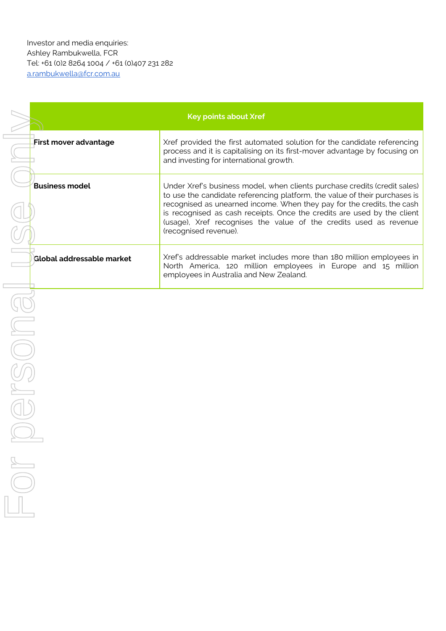| <b>Key points about Xref</b> |                                                                                                                                                                                                                                                                                                                                                                                                            |
|------------------------------|------------------------------------------------------------------------------------------------------------------------------------------------------------------------------------------------------------------------------------------------------------------------------------------------------------------------------------------------------------------------------------------------------------|
| <b>First mover advantage</b> | Xref provided the first automated solution for the candidate referencing<br>process and it is capitalising on its first-mover advantage by focusing on<br>and investing for international growth.                                                                                                                                                                                                          |
| <b>Business model</b>        | Under Xref's business model, when clients purchase credits (credit sales)<br>to use the candidate referencing platform, the value of their purchases is<br>recognised as unearned income. When they pay for the credits, the cash<br>is recognised as cash receipts. Once the credits are used by the client<br>(usage), Xref recognises the value of the credits used as revenue<br>(recognised revenue). |
| Global addressable market    | Xref's addressable market includes more than 180 million employees in<br>North America, 120 million employees in Europe and 15 million<br>employees in Australia and New Zealand.                                                                                                                                                                                                                          |